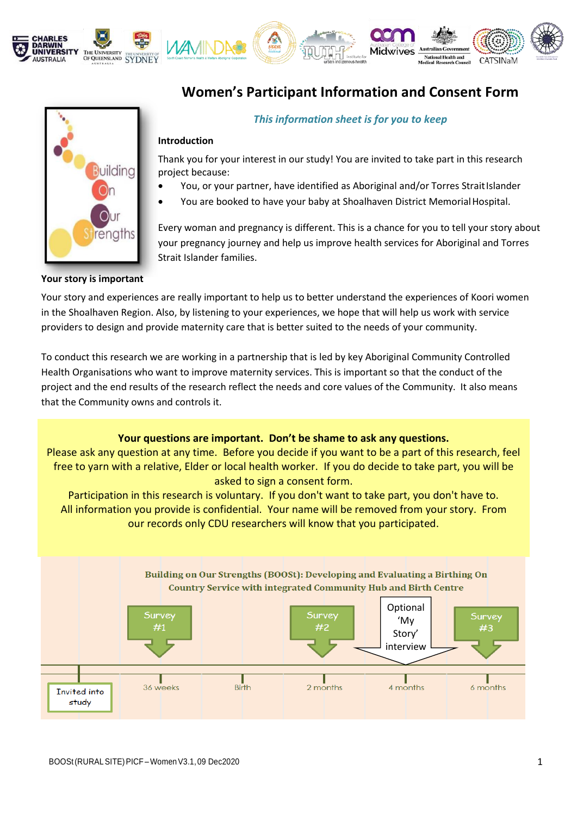

# **Women's Participant Information and Consent Form**



## *This information sheet is for you to keep*

#### **Introduction**

Thank you for your interest in our study! You are invited to take part in this research project because:

- You, or your partner, have identified as Aboriginal and/or Torres StraitIslander
- You are booked to have your baby at Shoalhaven District Memorial Hospital.

Every woman and pregnancy is different. This is a chance for you to tell your story about your pregnancy journey and help us improve health services for Aboriginal and Torres Strait Islander families.

#### **Your story is important**

Your story and experiences are really important to help us to better understand the experiences of Koori women in the Shoalhaven Region. Also, by listening to your experiences, we hope that will help us work with service providers to design and provide maternity care that is better suited to the needs of your community.

To conduct this research we are working in a partnership that is led by key Aboriginal Community Controlled Health Organisations who want to improve maternity services. This is important so that the conduct of the project and the end results of the research reflect the needs and core values of the Community. It also means that the Community owns and controls it.

#### **Your questions are important. Don't be shame to ask any questions.** Please ask any question at any time. Before you decide if you want to be a part of this research, feel free to yarn with a relative, Elder or local health worker. If you do decide to take part, you will be asked to sign a consent form. Participation in this research is voluntary. If you don't want to take part, you don't have to. All information you provide is confidential. Your name will be removed from your story. From our records only CDU researchers will know that you participated. Building on Our Strengths (BOOSt): Developing and Evaluating a Birthing On **Country Service with integrated Community Hub and Birth Centre** Optional Survey Survev Survey 'My #1  $#3$ Story' interview**Birth** 36 weeks 2 months 4 months 6 months

**Invited** into study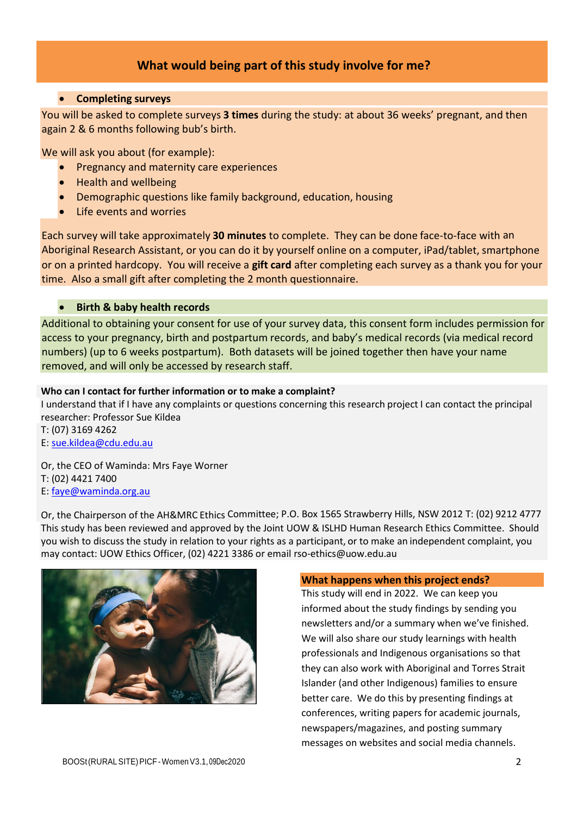# **What would being part of this study involve for me?**

## • **Completing surveys**

You will be asked to complete surveys **3 times** during the study: at about 36 weeks' pregnant, and then again 2 & 6 months following bub's birth.

We will ask you about (for example):

- Pregnancy and maternity care experiences
- Health and wellbeing
- Demographic questions like family background, education, housing
- Life events and worries

Each survey will take approximately **30 minutes** to complete. They can be done face-to-face with an Aboriginal Research Assistant, or you can do it by yourself online on a computer, iPad/tablet, smartphone or on a printed hardcopy. You will receive a **gift card** after completing each survey as a thank you for your time. Also a small gift after completing the 2 month questionnaire.

## • **Birth & baby health records**

Additional to obtaining your consent for use of your survey data, this consent form includes permission for access to your pregnancy, birth and postpartum records, and baby's medical records (via medical record numbers) (up to 6 weeks postpartum). Both datasets will be joined together then have your name removed, and will only be accessed by research staff.

### **Who can I contact for further information or to make a complaint?**

I understand that if I have any complaints or questions concerning this research project I can contact the principal researcher: Professor Sue Kildea T: (07) 3169 4262

E: [sue.kildea@cdu.edu.au](mailto:sue.kildea@cdu.edu.au)

Or, the CEO of Waminda: Mrs Faye Worner T: (02) 4421 7400 E: [faye@waminda.org.au](mailto:faye@waminda.org.au)

Or, the Chairperson of the AH&MRC Ethics Committee; P.O. Box 1565 Strawberry Hills, NSW 2012 T: (02) 9212 4777 This study has been reviewed and approved by the Joint UOW & ISLHD Human Research Ethics Committee. Should you wish to discuss the study in relation to your rights as a participant, or to make an independent complaint, you may contact: UOW Ethics Officer, (02) 4221 3386 or email rso-ethics@uow.edu.au



## **What happens when this project ends?**

This study will end in 2022. We can keep you informed about the study findings by sending you newsletters and/or a summary when we've finished. We will also share our study learnings with health professionals and Indigenous organisations so that they can also work with Aboriginal and Torres Strait Islander (and other Indigenous) families to ensure better care. We do this by presenting findings at conferences, writing papers for academic journals, newspapers/magazines, and posting summary *Photo of Waminda mother and* messages on websites and social media channels.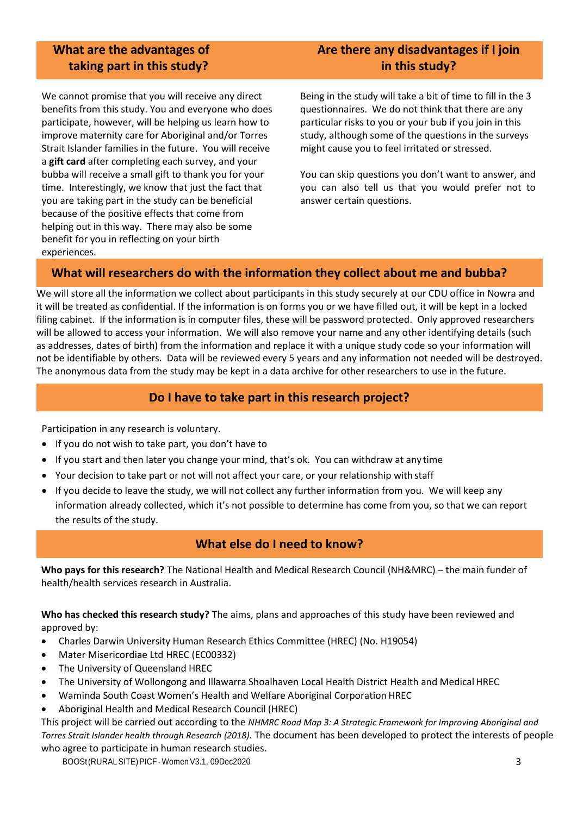# **What are the advantages of taking part in this study?**

We cannot promise that you will receive any direct benefits from this study. You and everyone who does participate, however, will be helping us learn how to improve maternity care for Aboriginal and/or Torres Strait Islander families in the future. You will receive a **gift card** after completing each survey, and your bubba will receive a small gift to thank you for your time. Interestingly, we know that just the fact that you are taking part in the study can be beneficial because of the positive effects that come from helping out in this way. There may also be some benefit for you in reflecting on your birth experiences.

# **Are there any disadvantages if I join in this study?**

Being in the study will take a bit of time to fill in the 3 questionnaires. We do not think that there are any particular risks to you or your bub if you join in this study, although some of the questions in the surveys might cause you to feel irritated or stressed.

You can skip questions you don't want to answer, and you can also tell us that you would prefer not to answer certain questions.

# **What will researchers do with the information they collect about me and bubba?**

We will store all the information we collect about participants in this study securely at our CDU office in Nowra and it will be treated as confidential. If the information is on forms you or we have filled out, it will be kept in a locked filing cabinet. If the information is in computer files, these will be password protected. Only approved researchers will be allowed to access your information. We will also remove your name and any other identifying details (such as addresses, dates of birth) from the information and replace it with a unique study code so your information will not be identifiable by others. Data will be reviewed every 5 years and any information not needed will be destroyed. The anonymous data from the study may be kept in a data archive for other researchers to use in the future.

# **Do I have to take part in this research project?**

Participation in any research is voluntary.

- If you do not wish to take part, you don't have to
- If you start and then later you change your mind, that's ok. You can withdraw at any time
- Your decision to take part or not will not affect your care, or your relationship with staff
- If you decide to leave the study, we will not collect any further information from you. We will keep any information already collected, which it's not possible to determine has come from you, so that we can report the results of the study.

## **What else do I need to know?**

**Who pays for this research?** The National Health and Medical Research Council (NH&MRC) – the main funder of health/health services research in Australia.

**Who has checked this research study?** The aims, plans and approaches of this study have been reviewed and approved by:

- Charles Darwin University Human Research Ethics Committee (HREC) (No. H19054)
- Mater Misericordiae Ltd HREC (EC00332)
- The University of Queensland HREC
- The University of Wollongong and Illawarra Shoalhaven Local Health District Health and Medical HREC
- Waminda South Coast Women's Health and Welfare Aboriginal Corporation HREC
- Aboriginal Health and Medical Research Council (HREC)

This project will be carried out according to the *NHMRC Road Map 3: A Strategic Framework for Improving Aboriginal and Torres Strait Islander health through Research (2018)*. The document has been developed to protect the interests of people who agree to participate in human research studies.

BOOSt(RURALSITE)PICF-WomenV3.1, 09Dec2020 3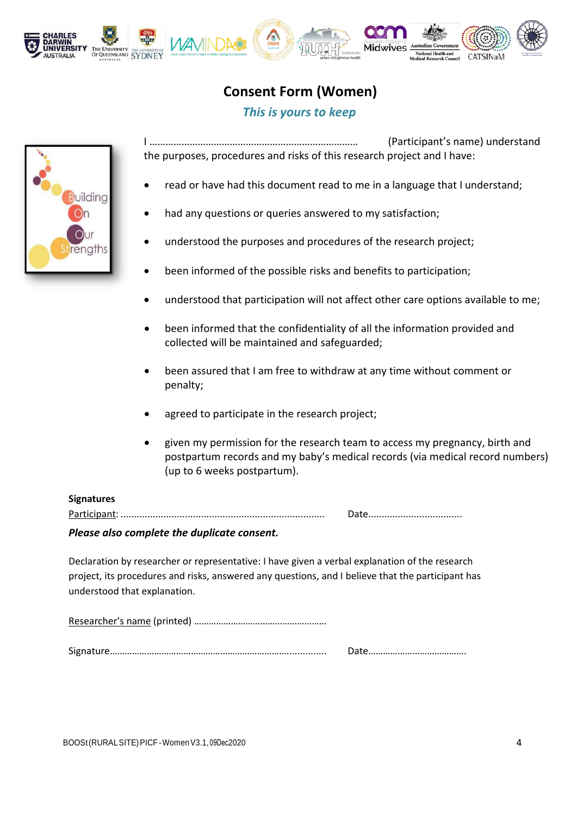

# **Consent Form (Women)**

# *This is yours to keep*

uilding engths

I …………………………………………………………………… (Participant's name) understand the purposes, procedures and risks of this research project and I have:

- read or have had this document read to me in a language that I understand;
- had any questions or queries answered to my satisfaction;
- understood the purposes and procedures of the research project;
- been informed of the possible risks and benefits to participation;
- understood that participation will not affect other care options available to me;
- been informed that the confidentiality of all the information provided and collected will be maintained and safeguarded;
- been assured that I am free to withdraw at any time without comment or penalty;
- agreed to participate in the research project;
- given my permission for the research team to access my pregnancy, birth and postpartum records and my baby's medical records (via medical record numbers) (up to 6 weeks postpartum).

## **Signatures**

Participant: ............................................................................ Date...................................

## *Please also complete the duplicate consent.*

Declaration by researcher or representative: I have given a verbal explanation of the research project, its procedures and risks, answered any questions, and I believe that the participant has understood that explanation.

Researcher's name (printed) ………………………………………………

Signature………………………………………………………………............... Date………………………………….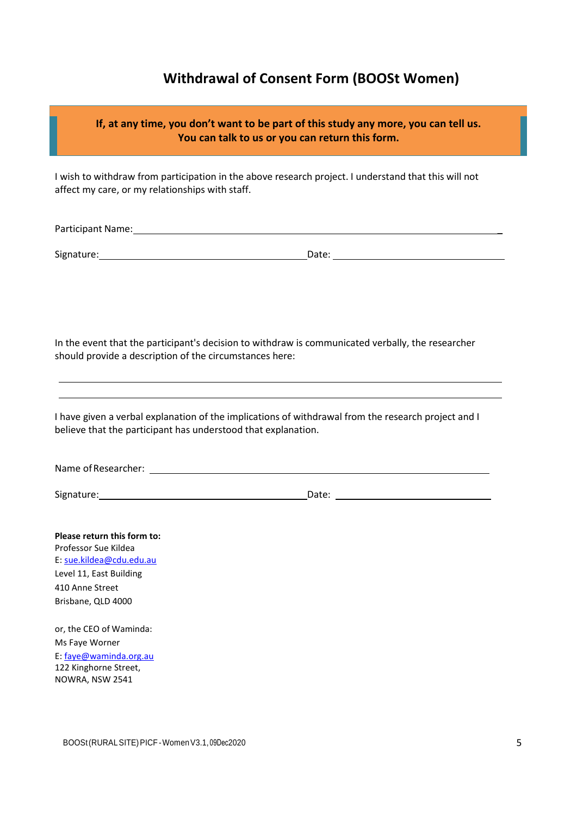# **Withdrawal of Consent Form (BOOSt Women)**

**If, at any time, you don't want to be part of this study any more, you can tell us.**

| You can talk to us or you can return this form.                                                                                                                                                                                      |  |  |
|--------------------------------------------------------------------------------------------------------------------------------------------------------------------------------------------------------------------------------------|--|--|
| I wish to withdraw from participation in the above research project. I understand that this will not<br>affect my care, or my relationships with staff.                                                                              |  |  |
| Participant Name: <u>and the contract of the contract of the contract of the contract of the contract of the contract of the contract of the contract of the contract of the contract of the contract of the contract of the con</u> |  |  |
|                                                                                                                                                                                                                                      |  |  |
| In the event that the participant's decision to withdraw is communicated verbally, the researcher<br>should provide a description of the circumstances here:                                                                         |  |  |
| I have given a verbal explanation of the implications of withdrawal from the research project and I<br>believe that the participant has understood that explanation.                                                                 |  |  |
|                                                                                                                                                                                                                                      |  |  |
|                                                                                                                                                                                                                                      |  |  |
| Please return this form to:<br>Professor Sue Kildea<br>E: sue.kildea@cdu.edu.au<br>Level 11, East Building<br>410 Anne Street<br>Brisbane, QLD 4000                                                                                  |  |  |
| or, the CEO of Waminda:<br>Ms Faye Worner<br>E: faye@waminda.org.au                                                                                                                                                                  |  |  |

122 Kinghorne Street, NOWRA, NSW 2541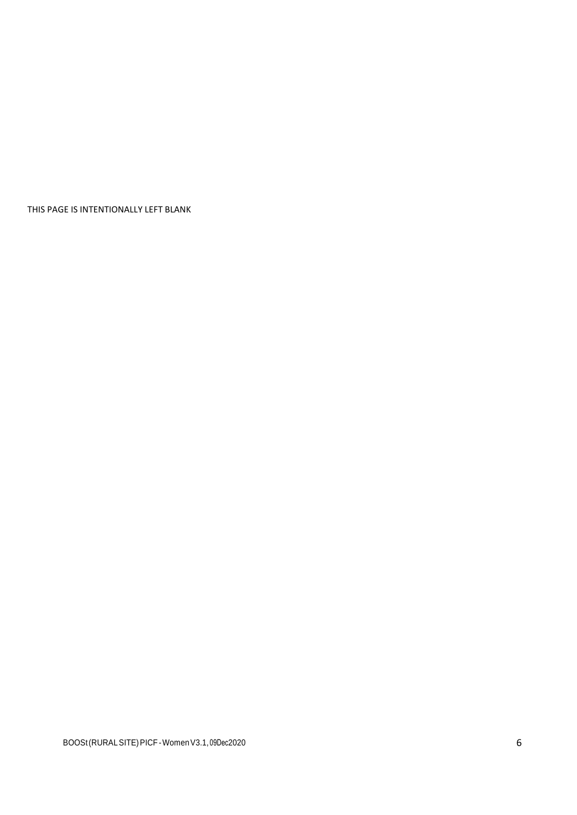THIS PAGE IS INTENTIONALLY LEFT BLANK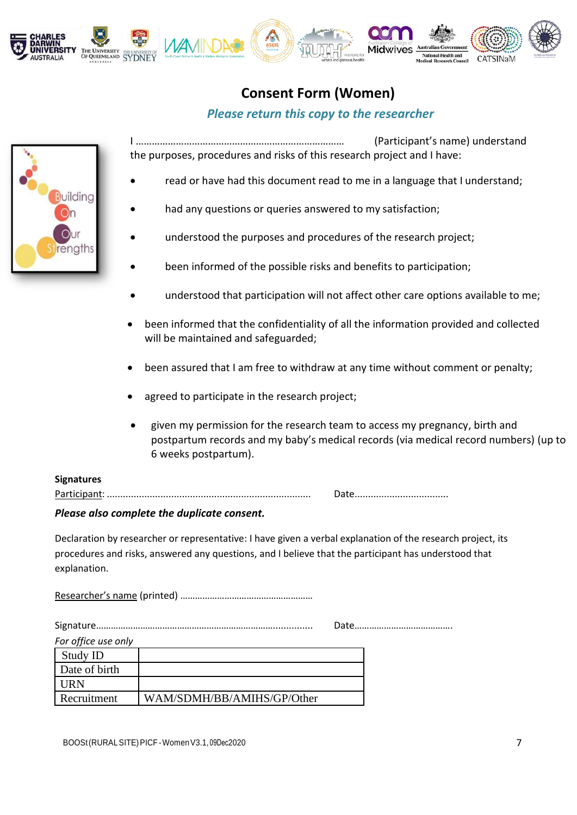

# **Consent Form (Women)**

# *Please return this copy to the researcher*

I …………………………………………………………………… (Participant's name) understand the purposes, procedures and risks of this research project and I have:

- read or have had this document read to me in a language that I understand;
- had any questions or queries answered to my satisfaction;
- understood the purposes and procedures of the research project;
- been informed of the possible risks and benefits to participation;
- understood that participation will not affect other care options available to me;
- been informed that the confidentiality of all the information provided and collected will be maintained and safeguarded;
- been assured that I am free to withdraw at any time without comment or penalty;
- agreed to participate in the research project;
- given my permission for the research team to access my pregnancy, birth and postpartum records and my baby's medical records (via medical record numbers) (up to 6 weeks postpartum).

#### **Signatures**

Participant: ............................................................................ Date...................................

## *Please also complete the duplicate consent.*

Declaration by researcher or representative: I have given a verbal explanation of the research project, its procedures and risks, answered any questions, and I believe that the participant has understood that explanation.

Researcher's name (printed) ………………………………………………

Signature………………………………………………………………............... Date………………………………….

| For office use only |                            |
|---------------------|----------------------------|
| Study ID            |                            |
| Date of birth       |                            |
| <b>URN</b>          |                            |
| Recruitment         | WAM/SDMH/BB/AMIHS/GP/Other |